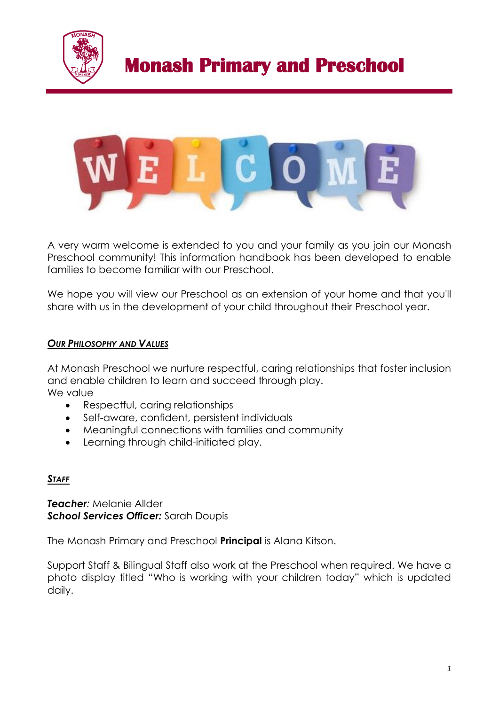



A very warm welcome is extended to you and your family as you join our Monash Preschool community! This information handbook has been developed to enable families to become familiar with our Preschool.

We hope you will view our Preschool as an extension of your home and that you'll share with us in the development of your child throughout their Preschool year.

### *OUR PHILOSOPHY AND VALUES*

At Monash Preschool we nurture respectful, caring relationships that foster inclusion and enable children to learn and succeed through play. We value

- Respectful, caring relationships
- Self-aware, confident, persistent individuals
- Meaningful connections with families and community
- Learning through child-initiated play.

### *STAFF*

*Teacher:* Melanie Allder *School Services Officer:* Sarah Doupis

The Monash Primary and Preschool **Principal** is Alana Kitson.

Support Staff & Bilingual Staff also work at the Preschool when required. We have a photo display titled "Who is working with your children today" which is updated daily.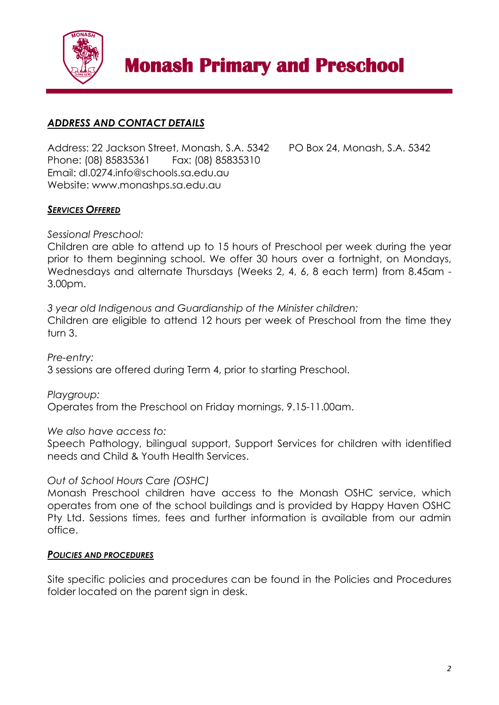

## *ADDRESS AND CONTACT DETAILS*

Address: 22 Jackson Street, Monash, S.A. 5342 PO Box 24, Monash, S.A. 5342 Phone: (08) 85835361 Fax: (08) 85835310 Email: dl.0274.info@schools.sa.edu.au Website: www.monashps.sa.edu.au

## *SERVICES OFFERED*

*Sessional Preschool:* 

Children are able to attend up to 15 hours of Preschool per week during the year prior to them beginning school. We offer 30 hours over a fortnight, on Mondays, Wednesdays and alternate Thursdays (Weeks 2, 4, 6, 8 each term) from 8.45am - 3.00pm.

*3 year old Indigenous and Guardianship of the Minister children:*

Children are eligible to attend 12 hours per week of Preschool from the time they turn 3.

*Pre-entry:*  3 sessions are offered during Term 4, prior to starting Preschool.

*Playgroup:* 

Operates from the Preschool on Friday mornings, 9.15-11.00am.

*We also have access to:*

Speech Pathology, bilingual support, Support Services for children with identified needs and Child & Youth Health Services.

## *Out of School Hours Care (OSHC)*

Monash Preschool children have access to the Monash OSHC service, which operates from one of the school buildings and is provided by Happy Haven OSHC Pty Ltd. Sessions times, fees and further information is available from our admin office.

### *POLICIES AND PROCEDURES*

Site specific policies and procedures can be found in the Policies and Procedures folder located on the parent sign in desk.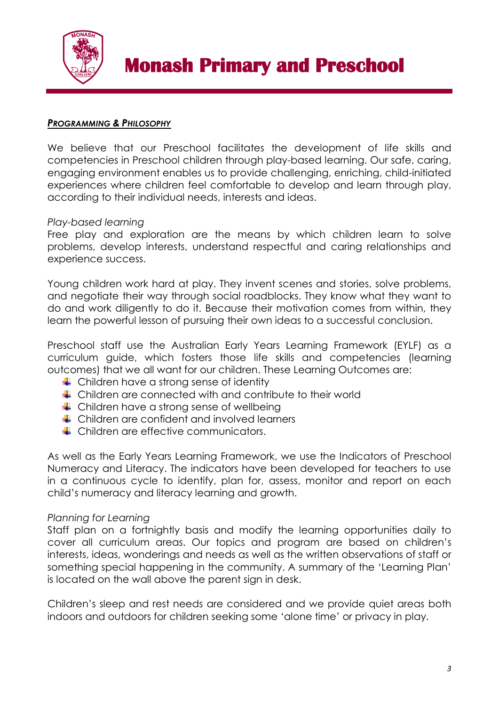

### *PROGRAMMING & PHILOSOPHY*

We believe that our Preschool facilitates the development of life skills and competencies in Preschool children through play-based learning. Our safe, caring, engaging environment enables us to provide challenging, enriching, child-initiated experiences where children feel comfortable to develop and learn through play, according to their individual needs, interests and ideas.

### *Play-based learning*

Free play and exploration are the means by which children learn to solve problems, develop interests, understand respectful and caring relationships and experience success.

Young children work hard at play. They invent scenes and stories, solve problems, and negotiate their way through social roadblocks. They know what they want to do and work diligently to do it. Because their motivation comes from within, they learn the powerful lesson of pursuing their own ideas to a successful conclusion.

Preschool staff use the Australian Early Years Learning Framework (EYLF) as a curriculum guide, which fosters those life skills and competencies (learning outcomes) that we all want for our children. These Learning Outcomes are:

- $\leftarrow$  Children have a strong sense of identity
- $\leftarrow$  Children are connected with and contribute to their world
- $\leftarrow$  Children have a strong sense of wellbeing
- **↓** Children are confident and involved learners
- **←** Children are effective communicators.

As well as the Early Years Learning Framework, we use the Indicators of Preschool Numeracy and Literacy. The indicators have been developed for teachers to use in a continuous cycle to identify, plan for, assess, monitor and report on each child's numeracy and literacy learning and growth.

## *Planning for Learning*

Staff plan on a fortnightly basis and modify the learning opportunities daily to cover all curriculum areas. Our topics and program are based on children's interests, ideas, wonderings and needs as well as the written observations of staff or something special happening in the community. A summary of the 'Learning Plan' is located on the wall above the parent sign in desk.

Children's sleep and rest needs are considered and we provide quiet areas both indoors and outdoors for children seeking some 'alone time' or privacy in play.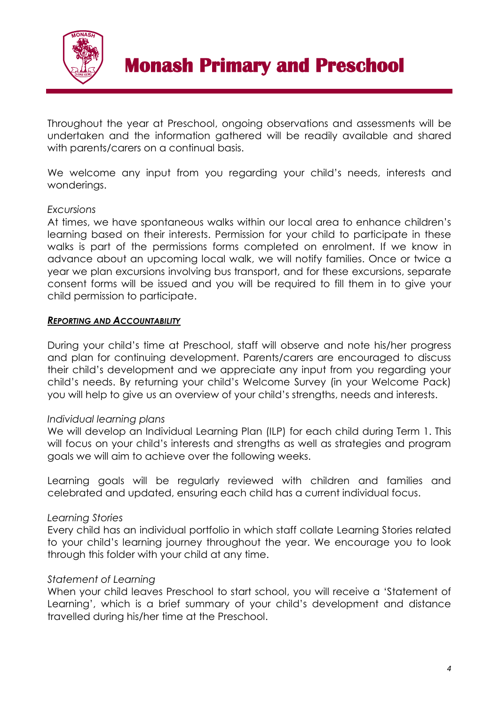

Throughout the year at Preschool, ongoing observations and assessments will be undertaken and the information gathered will be readily available and shared with parents/carers on a continual basis.

We welcome any input from you regarding your child's needs, interests and wonderings.

### *Excursions*

At times, we have spontaneous walks within our local area to enhance children's learning based on their interests. Permission for your child to participate in these walks is part of the permissions forms completed on enrolment. If we know in advance about an upcoming local walk, we will notify families. Once or twice a year we plan excursions involving bus transport, and for these excursions, separate consent forms will be issued and you will be required to fill them in to give your child permission to participate.

### *REPORTING AND ACCOUNTABILITY*

During your child's time at Preschool, staff will observe and note his/her progress and plan for continuing development. Parents/carers are encouraged to discuss their child's development and we appreciate any input from you regarding your child's needs. By returning your child's Welcome Survey (in your Welcome Pack) you will help to give us an overview of your child's strengths, needs and interests.

## *Individual learning plans*

We will develop an Individual Learning Plan (ILP) for each child during Term 1. This will focus on your child's interests and strengths as well as strategies and program goals we will aim to achieve over the following weeks.

Learning goals will be regularly reviewed with children and families and celebrated and updated, ensuring each child has a current individual focus.

## *Learning Stories*

Every child has an individual portfolio in which staff collate Learning Stories related to your child's learning journey throughout the year. We encourage you to look through this folder with your child at any time.

### *Statement of Learning*

When your child leaves Preschool to start school, you will receive a 'Statement of Learning', which is a brief summary of your child's development and distance travelled during his/her time at the Preschool.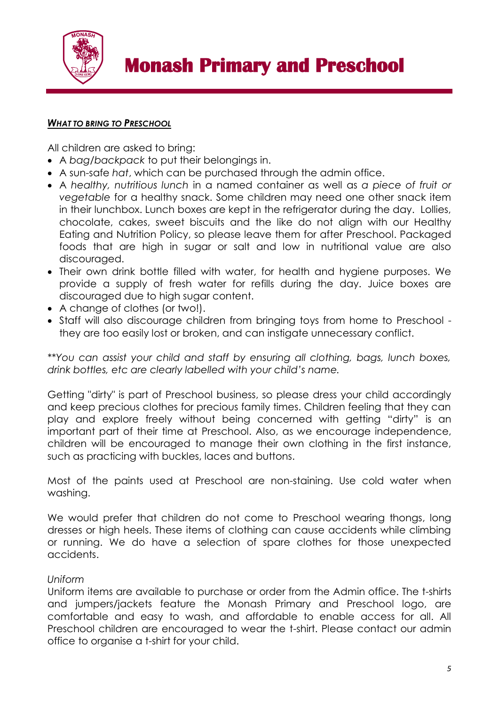

#### *WHAT TO BRING TO PRESCHOOL*

All children are asked to bring:

- A *bag/backpack* to put their belongings in.
- A sun-safe *hat*, which can be purchased through the admin office.
- A *healthy, nutritious lunch* in a named container as well as *a piece of fruit or vegetable* for a healthy snack. Some children may need one other snack item in their lunchbox. Lunch boxes are kept in the refrigerator during the day. Lollies, chocolate, cakes, sweet biscuits and the like do not align with our Healthy Eating and Nutrition Policy, so please leave them for after Preschool. Packaged foods that are high in sugar or salt and low in nutritional value are also discouraged.
- Their own drink bottle filled with water, for health and hygiene purposes. We provide a supply of fresh water for refills during the day. Juice boxes are discouraged due to high sugar content.
- A change of clothes (or two!).
- Staff will also discourage children from bringing toys from home to Preschool they are too easily lost or broken, and can instigate unnecessary conflict.

*\*\*You can assist your child and staff by ensuring all clothing, bags, lunch boxes, drink bottles, etc are clearly labelled with your child's name.*

Getting "dirty" is part of Preschool business, so please dress your child accordingly and keep precious clothes for precious family times. Children feeling that they can play and explore freely without being concerned with getting "dirty" is an important part of their time at Preschool. Also, as we encourage independence, children will be encouraged to manage their own clothing in the first instance, such as practicing with buckles, laces and buttons.

Most of the paints used at Preschool are non-staining. Use cold water when washing.

We would prefer that children do not come to Preschool wearing thongs, long dresses or high heels. These items of clothing can cause accidents while climbing or running. We do have a selection of spare clothes for those unexpected accidents.

### *Uniform*

Uniform items are available to purchase or order from the Admin office. The t-shirts and jumpers/jackets feature the Monash Primary and Preschool logo, are comfortable and easy to wash, and affordable to enable access for all. All Preschool children are encouraged to wear the t-shirt. Please contact our admin office to organise a t-shirt for your child.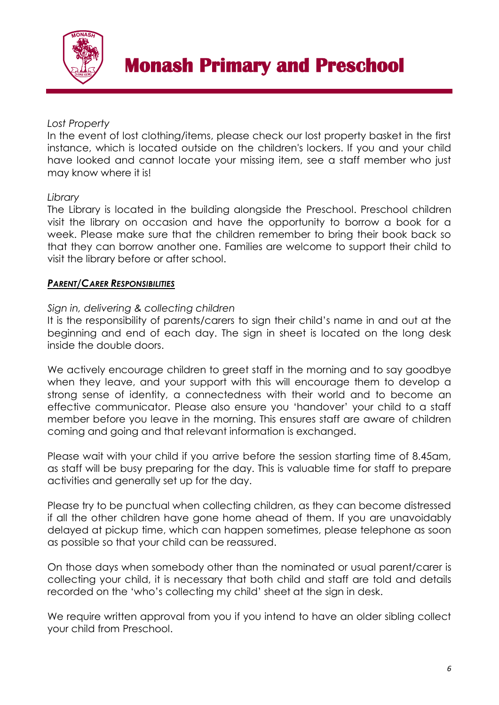

## *Lost Property*

In the event of lost clothing/items, please check our lost property basket in the first instance, which is located outside on the children's lockers. If you and your child have looked and cannot locate your missing item, see a staff member who just may know where it is!

## *Library*

The Library is located in the building alongside the Preschool. Preschool children visit the library on occasion and have the opportunity to borrow a book for a week. Please make sure that the children remember to bring their book back so that they can borrow another one. Families are welcome to support their child to visit the library before or after school.

## *PARENT/CARER RESPONSIBILITIES*

## *Sign in, delivering & collecting children*

It is the responsibility of parents/carers to sign their child's name in and out at the beginning and end of each day. The sign in sheet is located on the long desk inside the double doors.

We actively encourage children to greet staff in the morning and to say goodbye when they leave, and your support with this will encourage them to develop a strong sense of identity, a connectedness with their world and to become an effective communicator. Please also ensure you 'handover' your child to a staff member before you leave in the morning. This ensures staff are aware of children coming and going and that relevant information is exchanged.

Please wait with your child if you arrive before the session starting time of 8.45am, as staff will be busy preparing for the day. This is valuable time for staff to prepare activities and generally set up for the day.

Please try to be punctual when collecting children, as they can become distressed if all the other children have gone home ahead of them. If you are unavoidably delayed at pickup time, which can happen sometimes, please telephone as soon as possible so that your child can be reassured.

On those days when somebody other than the nominated or usual parent/carer is collecting your child, it is necessary that both child and staff are told and details recorded on the 'who's collecting my child' sheet at the sign in desk.

We require written approval from you if you intend to have an older sibling collect your child from Preschool.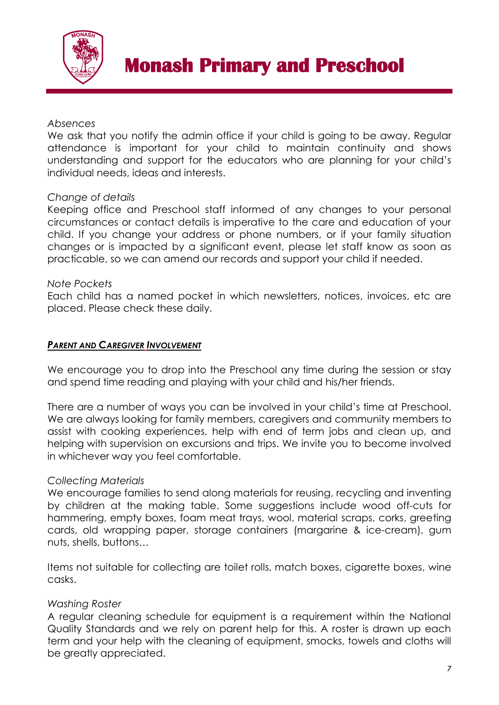

### *Absences*

We ask that you notify the admin office if your child is going to be away. Regular attendance is important for your child to maintain continuity and shows understanding and support for the educators who are planning for your child's individual needs, ideas and interests.

### *Change of details*

Keeping office and Preschool staff informed of any changes to your personal circumstances or contact details is imperative to the care and education of your child. If you change your address or phone numbers, or if your family situation changes or is impacted by a significant event, please let staff know as soon as practicable, so we can amend our records and support your child if needed.

### *Note Pockets*

Each child has a named pocket in which newsletters, notices, invoices, etc are placed. Please check these daily.

### *PARENT AND CAREGIVER INVOLVEMENT*

We encourage you to drop into the Preschool any time during the session or stay and spend time reading and playing with your child and his/her friends.

There are a number of ways you can be involved in your child's time at Preschool. We are always looking for family members, caregivers and community members to assist with cooking experiences, help with end of term jobs and clean up, and helping with supervision on excursions and trips. We invite you to become involved in whichever way you feel comfortable.

### *Collecting Materials*

We encourage families to send along materials for reusing, recycling and inventing by children at the making table. Some suggestions include wood off-cuts for hammering, empty boxes, foam meat trays, wool, material scraps, corks, greeting cards, old wrapping paper, storage containers (margarine & ice-cream), gum nuts, shells, buttons…

Items not suitable for collecting are toilet rolls, match boxes, cigarette boxes, wine casks.

## *Washing Roster*

A regular cleaning schedule for equipment is a requirement within the National Quality Standards and we rely on parent help for this. A roster is drawn up each term and your help with the cleaning of equipment, smocks, towels and cloths will be greatly appreciated.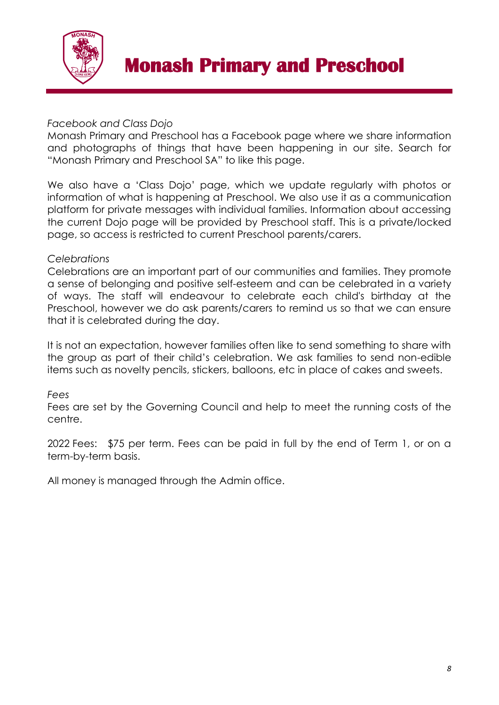

## *Facebook and Class Dojo*

Monash Primary and Preschool has a Facebook page where we share information and photographs of things that have been happening in our site. Search for "Monash Primary and Preschool SA" to like this page.

We also have a 'Class Dojo' page, which we update regularly with photos or information of what is happening at Preschool. We also use it as a communication platform for private messages with individual families. Information about accessing the current Dojo page will be provided by Preschool staff. This is a private/locked page, so access is restricted to current Preschool parents/carers.

## *Celebrations*

Celebrations are an important part of our communities and families. They promote a sense of belonging and positive self-esteem and can be celebrated in a variety of ways. The staff will endeavour to celebrate each child's birthday at the Preschool, however we do ask parents/carers to remind us so that we can ensure that it is celebrated during the day.

It is not an expectation, however families often like to send something to share with the group as part of their child's celebration. We ask families to send non-edible items such as novelty pencils, stickers, balloons, etc in place of cakes and sweets.

## *Fees*

Fees are set by the Governing Council and help to meet the running costs of the centre.

2022 Fees: \$75 per term. Fees can be paid in full by the end of Term 1, or on a term-by-term basis.

All money is managed through the Admin office.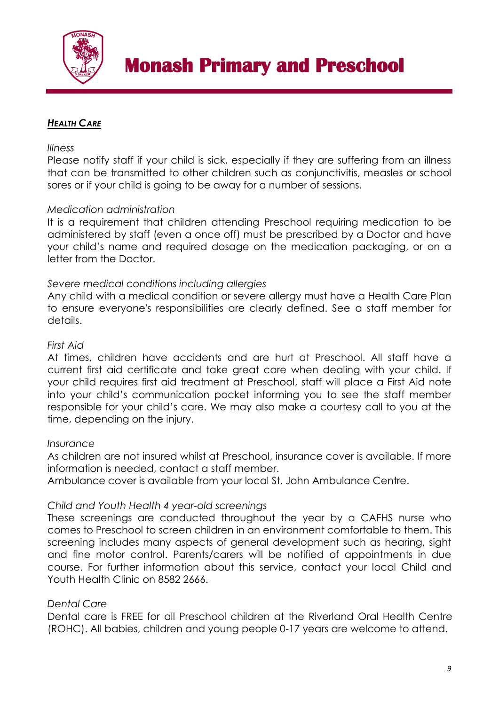

## *HEALTH CARE*

#### *Illness*

Please notify staff if your child is sick, especially if they are suffering from an illness that can be transmitted to other children such as conjunctivitis, measles or school sores or if your child is going to be away for a number of sessions.

### *Medication administration*

It is a requirement that children attending Preschool requiring medication to be administered by staff (even a once off) must be prescribed by a Doctor and have your child's name and required dosage on the medication packaging, or on a letter from the Doctor.

### *Severe medical conditions including allergies*

Any child with a medical condition or severe allergy must have a Health Care Plan to ensure everyone's responsibilities are clearly defined. See a staff member for details.

#### *First Aid*

At times, children have accidents and are hurt at Preschool. All staff have a current first aid certificate and take great care when dealing with your child. If your child requires first aid treatment at Preschool, staff will place a First Aid note into your child's communication pocket informing you to see the staff member responsible for your child's care. We may also make a courtesy call to you at the time, depending on the injury.

#### *Insurance*

As children are not insured whilst at Preschool, insurance cover is available. If more information is needed, contact a staff member.

Ambulance cover is available from your local St. John Ambulance Centre.

### *Child and Youth Health 4 year-old screenings*

These screenings are conducted throughout the year by a CAFHS nurse who comes to Preschool to screen children in an environment comfortable to them. This screening includes many aspects of general development such as hearing, sight and fine motor control. Parents/carers will be notified of appointments in due course. For further information about this service, contact your local Child and Youth Health Clinic on 8582 2666.

### *Dental Care*

Dental care is FREE for all Preschool children at the Riverland Oral Health Centre (ROHC). All babies, children and young people 0-17 years are welcome to attend.